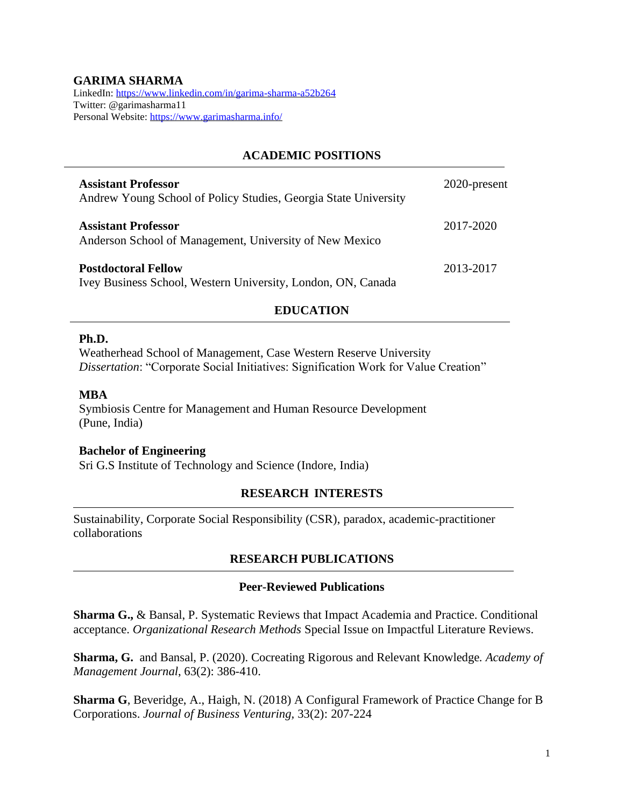## **GARIMA SHARMA**

LinkedIn:<https://www.linkedin.com/in/garima-sharma-a52b264> Twitter: @garimasharma11 Personal Website:<https://www.garimasharma.info/>

## **ACADEMIC POSITIONS**

| <b>Assistant Professor</b><br>Andrew Young School of Policy Studies, Georgia State University | 2020-present |
|-----------------------------------------------------------------------------------------------|--------------|
| <b>Assistant Professor</b><br>Anderson School of Management, University of New Mexico         | 2017-2020    |
| <b>Postdoctoral Fellow</b><br>Ivey Business School, Western University, London, ON, Canada    | 2013-2017    |

## **EDUCATION**

#### **Ph.D.**

Weatherhead School of Management, Case Western Reserve University *Dissertation*: "Corporate Social Initiatives: Signification Work for Value Creation"

#### **MBA**

Symbiosis Centre for Management and Human Resource Development (Pune, India)

#### **Bachelor of Engineering**

Sri G.S Institute of Technology and Science (Indore, India)

### **RESEARCH INTERESTS**

Sustainability, Corporate Social Responsibility (CSR), paradox, academic-practitioner collaborations

### **RESEARCH PUBLICATIONS**

#### **Peer-Reviewed Publications**

**Sharma G.,** & Bansal, P. Systematic Reviews that Impact Academia and Practice. Conditional acceptance. *Organizational Research Methods* Special Issue on Impactful Literature Reviews.

**Sharma, G.** and Bansal, P. (2020). Cocreating Rigorous and Relevant Knowledge*. Academy of Management Journal*, 63(2): 386-410.

**Sharma G**, Beveridge, A., Haigh, N. (2018) A Configural Framework of Practice Change for B Corporations. *Journal of Business Venturing,* 33(2): 207-224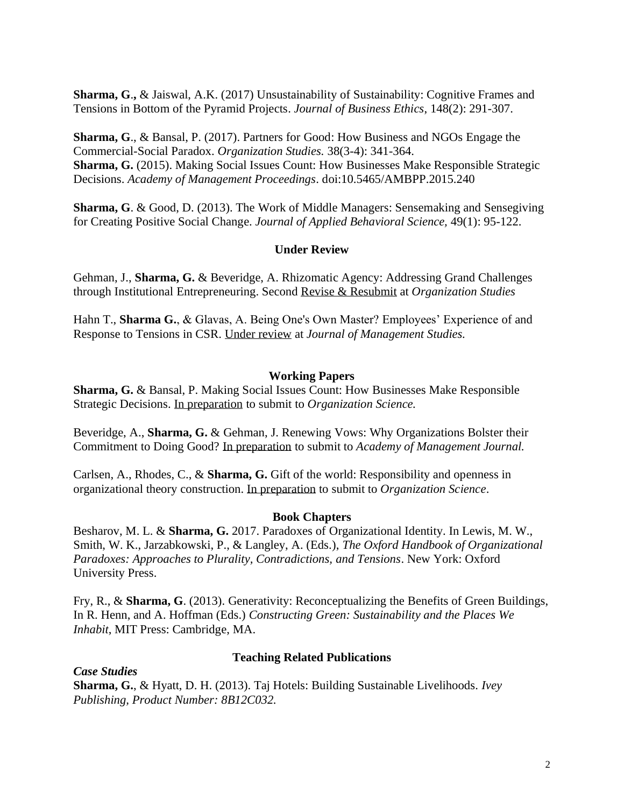**Sharma, G**.**,** & Jaiswal, A.K. (2017) Unsustainability of Sustainability: Cognitive Frames and Tensions in Bottom of the Pyramid Projects. *Journal of Business Ethics*, 148(2): 291-307.

**Sharma, G**., & Bansal, P. (2017). Partners for Good: How Business and NGOs Engage the Commercial-Social Paradox. *Organization Studies.* 38(3-4): 341-364. **Sharma, G.** (2015). Making Social Issues Count: How Businesses Make Responsible Strategic Decisions. *Academy of Management Proceedings*. doi:10.5465/AMBPP.2015.240

**Sharma, G**. & Good, D. (2013). The Work of Middle Managers: Sensemaking and Sensegiving for Creating Positive Social Change. *Journal of Applied Behavioral Science,* 49(1): 95-122.

### **Under Review**

Gehman, J., **Sharma, G.** & Beveridge, A. Rhizomatic Agency: Addressing Grand Challenges through Institutional Entrepreneuring. Second Revise & Resubmit at *Organization Studies*

Hahn T., **Sharma G.**, & Glavas, A. Being One's Own Master? Employees' Experience of and Response to Tensions in CSR. Under review at *Journal of Management Studies.*

### **Working Papers**

**Sharma, G.** & Bansal, P. Making Social Issues Count: How Businesses Make Responsible Strategic Decisions. In preparation to submit to *Organization Science.*

Beveridge, A., **Sharma, G.** & Gehman, J. Renewing Vows: Why Organizations Bolster their Commitment to Doing Good? In preparation to submit to *Academy of Management Journal.*

Carlsen, A., Rhodes, C., & **Sharma, G.** Gift of the world: Responsibility and openness in organizational theory construction. In preparation to submit to *Organization Science*.

### **Book Chapters**

Besharov, M. L. & **Sharma, G.** 2017. Paradoxes of Organizational Identity. In Lewis, M. W., Smith, W. K., Jarzabkowski, P., & Langley, A. (Eds.), *The Oxford Handbook of Organizational Paradoxes: Approaches to Plurality, Contradictions, and Tensions*. New York: Oxford University Press.

Fry, R., & **Sharma, G**. (2013). Generativity: Reconceptualizing the Benefits of Green Buildings, In R. Henn, and A. Hoffman (Eds.) *Constructing Green: Sustainability and the Places We Inhabit*, MIT Press: Cambridge, MA.

### **Teaching Related Publications**

*Case Studies* **Sharma, G.**, & Hyatt, D. H. (2013). Taj Hotels: Building Sustainable Livelihoods. *Ivey Publishing, Product Number: 8B12C032.*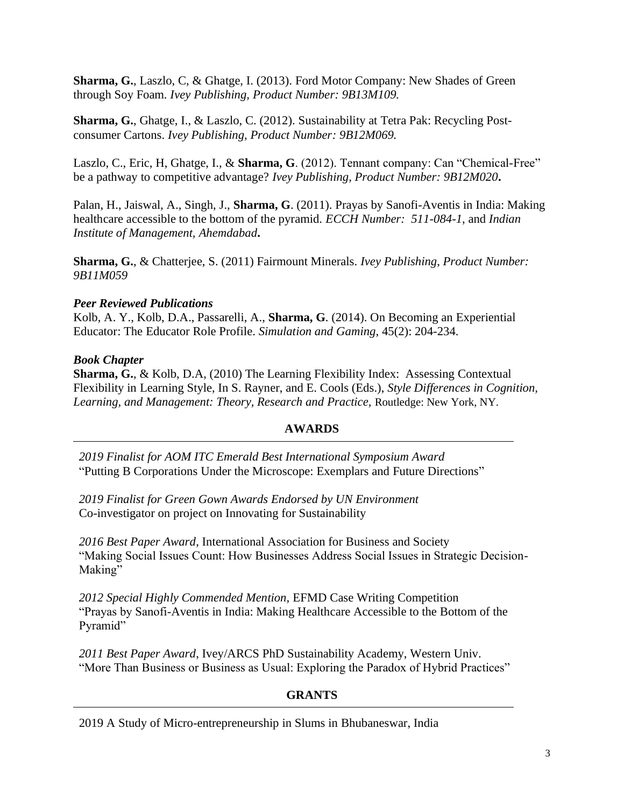**Sharma, G.**, Laszlo, C, & Ghatge, I. (2013). Ford Motor Company: New Shades of Green through Soy Foam. *Ivey Publishing, Product Number: 9B13M109.*

**Sharma, G.**, Ghatge, I., & Laszlo, C. (2012). Sustainability at Tetra Pak: Recycling Postconsumer Cartons. *Ivey Publishing, Product Number: 9B12M069.*

Laszlo, C., Eric, H, Ghatge, I., & **Sharma, G**. (2012). Tennant company: Can "Chemical-Free" be a pathway to competitive advantage? *Ivey Publishing, Product Number: 9B12M020***.**

Palan, H., Jaiswal, A., Singh, J., **Sharma, G**. (2011). Prayas by Sanofi-Aventis in India: Making healthcare accessible to the bottom of the pyramid. *ECCH Number: 511-084-1*, and *Indian Institute of Management, Ahemdabad***.**

**Sharma, G.**, & Chatterjee, S. (2011) Fairmount Minerals. *Ivey Publishing*, *Product Number: 9B11M059*

### *Peer Reviewed Publications*

Kolb, A. Y., Kolb, D.A., Passarelli, A., **Sharma, G**. (2014). On Becoming an Experiential Educator: The Educator Role Profile. *Simulation and Gaming*, 45(2): 204-234.

## *Book Chapter*

**Sharma, G.**, & Kolb, D.A, (2010) The Learning Flexibility Index: Assessing Contextual Flexibility in Learning Style, In S. Rayner, and E. Cools (Eds.), *Style Differences in Cognition, Learning, and Management: Theory, Research and Practice,* Routledge: New York, NY.

# **AWARDS**

*2019 Finalist for AOM ITC Emerald Best International Symposium Award* "Putting B Corporations Under the Microscope: Exemplars and Future Directions"

*2019 Finalist for Green Gown Awards Endorsed by UN Environment* Co-investigator on project on Innovating for Sustainability

*2016 Best Paper Award*, International Association for Business and Society "Making Social Issues Count: How Businesses Address Social Issues in Strategic Decision-Making"

*2012 Special Highly Commended Mention,* EFMD Case Writing Competition "Prayas by Sanofi-Aventis in India: Making Healthcare Accessible to the Bottom of the Pyramid"

*2011 Best Paper Award*, Ivey/ARCS PhD Sustainability Academy, Western Univ. "More Than Business or Business as Usual: Exploring the Paradox of Hybrid Practices"

# **GRANTS**

2019 A Study of Micro-entrepreneurship in Slums in Bhubaneswar, India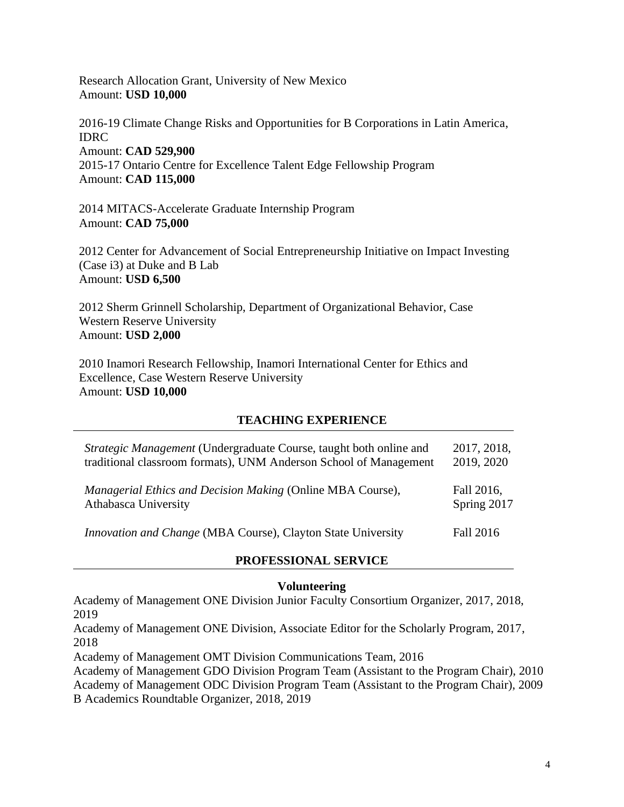Research Allocation Grant, University of New Mexico Amount: **USD 10,000**

2016-19 Climate Change Risks and Opportunities for B Corporations in Latin America, IDRC Amount: **CAD 529,900** 2015-17 Ontario Centre for Excellence Talent Edge Fellowship Program Amount: **CAD 115,000**

2014 MITACS-Accelerate Graduate Internship Program Amount: **CAD 75,000**

2012 Center for Advancement of Social Entrepreneurship Initiative on Impact Investing (Case i3) at Duke and B Lab Amount: **USD 6,500**

2012 Sherm Grinnell Scholarship, Department of Organizational Behavior, Case Western Reserve University Amount: **USD 2,000**

2010 Inamori Research Fellowship, Inamori International Center for Ethics and Excellence, Case Western Reserve University Amount: **USD 10,000**

### **TEACHING EXPERIENCE**

| <i>Strategic Management</i> (Undergraduate Course, taught both online and | 2017, 2018, |
|---------------------------------------------------------------------------|-------------|
| traditional classroom formats), UNM Anderson School of Management         | 2019, 2020  |
| Managerial Ethics and Decision Making (Online MBA Course),                | Fall 2016,  |
| Athabasca University                                                      | Spring 2017 |
| <i>Innovation and Change</i> (MBA Course), Clayton State University       | Fall 2016   |

### **PROFESSIONAL SERVICE**

#### **Volunteering**

Academy of Management ONE Division Junior Faculty Consortium Organizer, 2017, 2018, 2019

Academy of Management ONE Division, Associate Editor for the Scholarly Program, 2017, 2018

Academy of Management OMT Division Communications Team, 2016

Academy of Management GDO Division Program Team (Assistant to the Program Chair), 2010 Academy of Management ODC Division Program Team (Assistant to the Program Chair), 2009 B Academics Roundtable Organizer, 2018, 2019